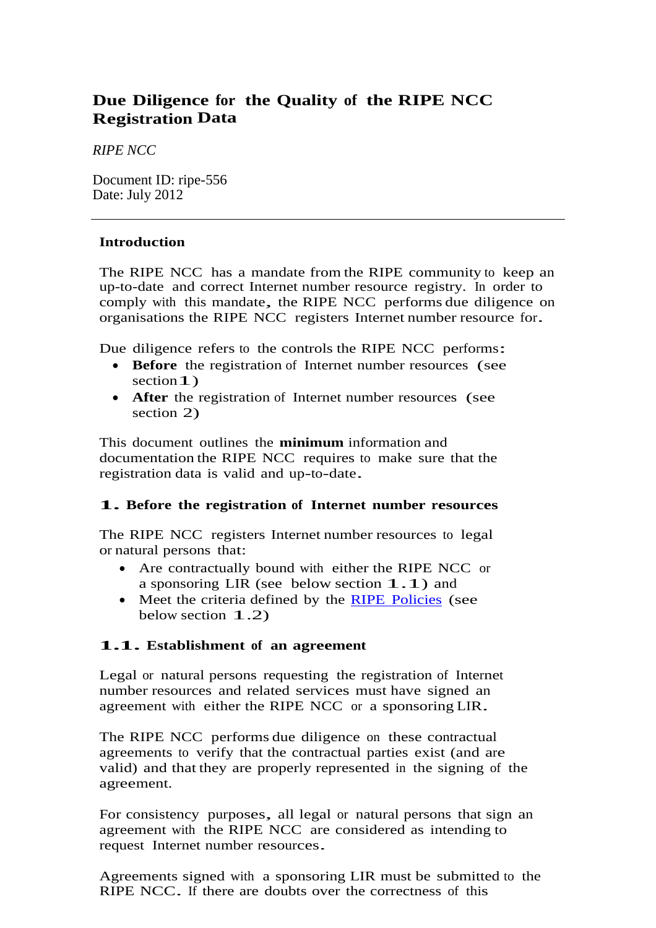# **Due Diligence for the Quality of the RIPE NCC Registration Data**

*RIPE NCC*

Document ID: ripe-556 Date: July 2012

## **Introduction**

The RIPE NCC has a mandate from the RIPE community to keep an up-to-date and correct Internet number resource registry. In order to comply with this mandate, the RIPE NCC performs due diligence on organisations the RIPE NCC registers Internet number resource for.

Due diligence refers to the controls the RIPE NCC performs:

- **Before** the registration of Internet number resources (see section 1)
- **After** the registration of Internet number resources (see section 2)

This document outlines the **minimum** information and documentation the RIPE NCC requires to make sure that the registration data is valid and up-to-date.

# **1. Before the registration of Internet number resources**

The RIPE NCC registers Internet number resources to legal or natural persons that:

- Are contractually bound with either the RIPE NCC or a sponsoring LIR (see below section 1.1) and
- Meet the criteria defined by the RIPE [Policies](http://www.ripe.net/ripe/docs/current-ripe-documents/ripe-policies) (see below section 1.2)

### **1.1. Establishment of an agreement**

Legal or natural persons requesting the registration of Internet number resources and related services must have signed an agreement with either the RIPE NCC or a sponsoring LIR.

The RIPE NCC performs due diligence on these contractual agreements to verify that the contractual parties exist (and are valid) and that they are properly represented in the signing of the agreement.

For consistency purposes, all legal or natural persons that sign an agreement with the RIPE NCC are considered as intending to request Internet number resources.

Agreements signed with a sponsoring LIR must be submitted to the RIPE NCC. If there are doubts over the correctness of this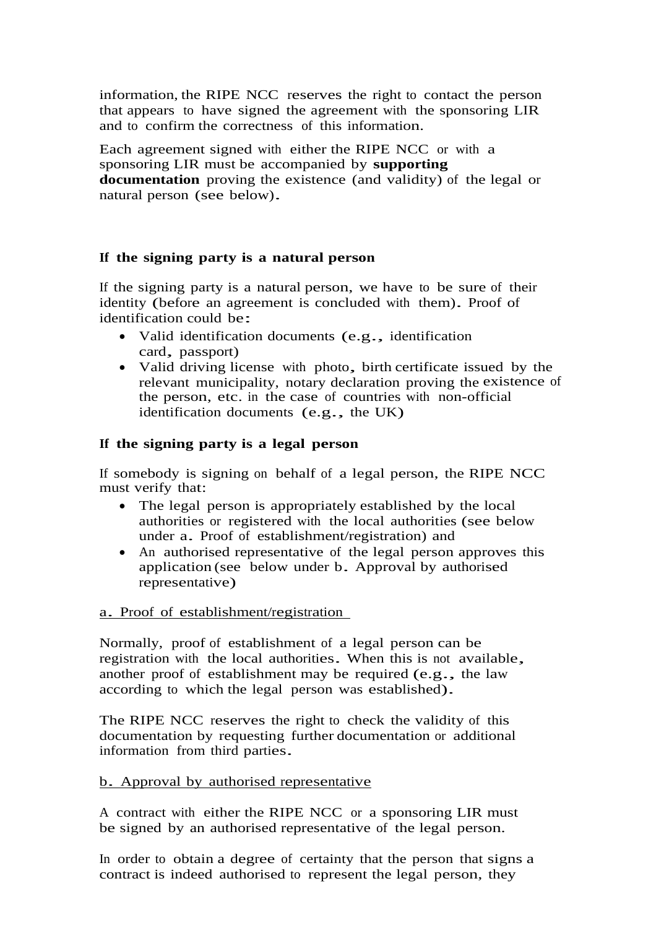information, the RIPE NCC reserves the right to contact the person that appears to have signed the agreement with the sponsoring LIR and to confirm the correctness of this information.

Each agreement signed with either the RIPE NCC or with a sponsoring LIR must be accompanied by **supporting documentation** proving the existence (and validity) of the legal or natural person (see below).

### **If the signing party is a natural person**

If the signing party is a natural person, we have to be sure of their identity (before an agreement is concluded with them). Proof of identification could be:

- Valid identification documents (e.g., identification card, passport)
- Valid driving license with photo, birth certificate issued by the relevant municipality, notary declaration proving the existence of the person, etc. in the case of countries with non-official identification documents (e.g., the UK)

### **If the signing party is a legal person**

If somebody is signing on behalf of a legal person, the RIPE NCC must verify that:

- The legal person is appropriately established by the local authorities or registered with the local authorities (see below under a. Proof of establishment/registration) and
- An authorised representative of the legal person approves this application (see below under b. Approval by authorised representative)

#### a. Proof of establishment/registration

Normally, proof of establishment of a legal person can be registration with the local authorities. When this is not available, another proof of establishment may be required (e.g., the law according to which the legal person was established).

The RIPE NCC reserves the right to check the validity of this documentation by requesting further documentation or additional information from third parties.

### b. Approval by authorised representative

A contract with either the RIPE NCC or a sponsoring LIR must be signed by an authorised representative of the legal person.

In order to obtain a degree of certainty that the person that signs a contract is indeed authorised to represent the legal person, they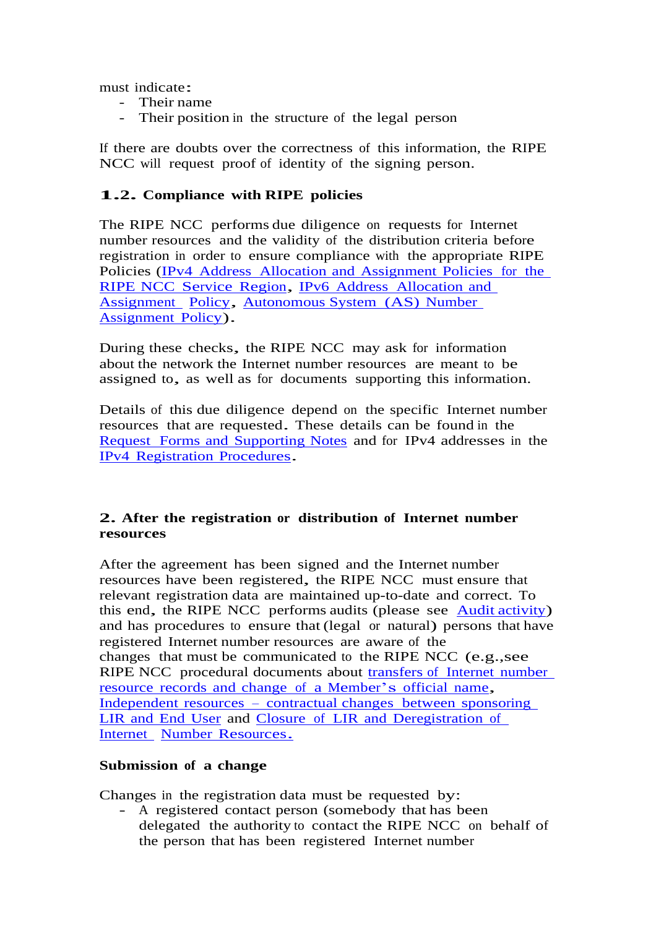must indicate:

- Their name
- Their position in the structure of the legal person

If there are doubts over the correctness of this information, the RIPE NCC will request proof of identity of the signing person.

## **1.2. Compliance with RIPE policies**

The RIPE NCC performs due diligence on requests for Internet number resources and the validity of the distribution criteria before registration in order to ensure compliance with the appropriate RIPE Policies (IPv4 [Address Allocation](http://www.ripe.net/publications/docs/ipv4-policies) and Assignment Policies for the RIPE NCC [Service](http://www.ripe.net/publications/docs/ipv4-policies) Region, IPv6 [Address Allocation](http://www.ripe.net/publications/docs/ipv6-policy) and [Assignment](http://www.ripe.net/publications/docs/ipv6-policy) [Policy,](http://www.ripe.net/publications/docs/ipv6-policy) [Autonomous System \(AS\)](http://www.ripe.net/publications/docs/asn-assignment-policies) Number [Assignment](http://www.ripe.net/publications/docs/asn-assignment-policies) Policy).

During these checks, the RIPE NCC may ask for information about the network the Internet number resources are meant to be assigned to, as well as for documents supporting this information.

Details of this due diligence depend on the specific Internet number resources that are requested. These details can be found in the [Request Forms](http://www.ripe.net/ripe/docs/other-documents/request-forms-supporting-notes) and Supporting Notes and for IPv4 addresses in the IPv4 [Registration](http://www.ripe.net/lir-services/resource-management/contact/registration-procedures) Procedures.

## **2. After the registration or distribution of Internet number resources**

After the agreement has been signed and the Internet number resources have been registered, the RIPE NCC must ensure that relevant registration data are maintained up-to-date and correct. To this end, the RIPE NCC performs audits (please see Audit [activity\)](http://www.ripe.net/publications/docs/audit) and has procedures to ensure that (legal or natural) persons that have registered Internet number resources are aware of the changes that must be communicated to the RIPE NCC (e.g.,see RIPE NCC procedural documents about transfers [of Internet](https://www.ripe.net/publications/docs/mergers) number resource records and [change of a](https://www.ripe.net/publications/docs/mergers) Member's official name, Independent resources – contractual [changes between](https://www.ripe.net/publications/docs/lir-end-user-contractual-changes) sponsoring LIR and End [User](https://www.ripe.net/publications/docs/lir-end-user-contractual-changes) and [Closure of LIR](http://www.ripe.net/publications/docs/closure) and Deregistration of [Internet](http://www.ripe.net/publications/docs/closure) Number [Resources.](http://www.ripe.net/publications/docs/closure)

### **Submission of a change**

Changes in the registration data must be requested by: - A registered contact person (somebody that has been delegated the authority to contact the RIPE NCC on behalf of the person that has been registered Internet number